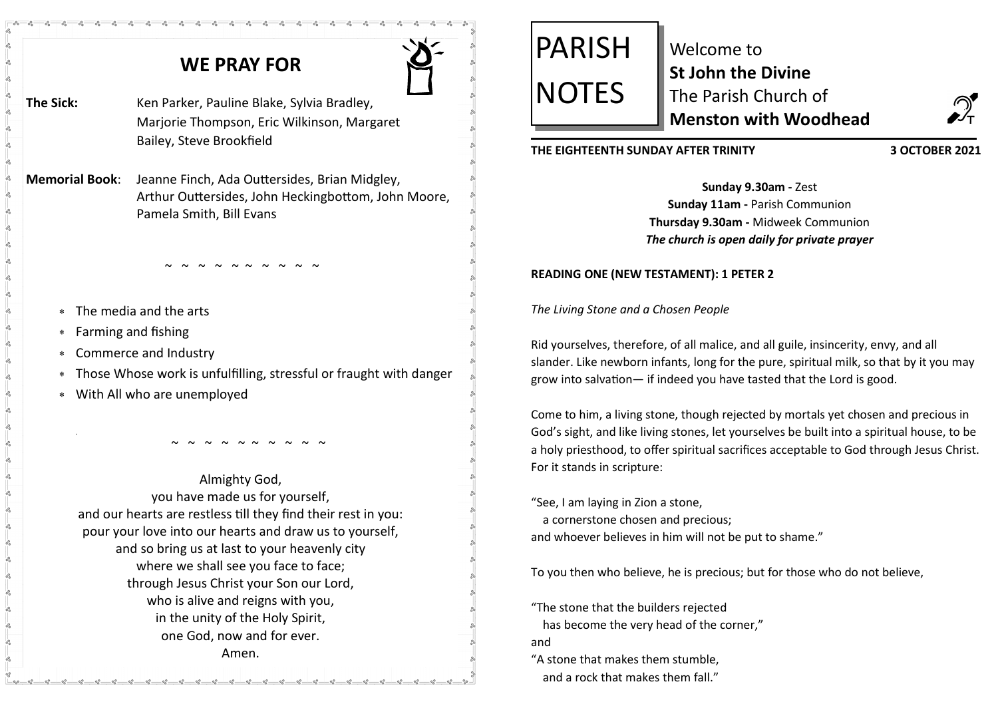# **WE PRAY FOR**

- 
- The Sick: Ken Parker, Pauline Blake, Sylvia Bradley, Marjorie Thompson, Eric Wilkinson, Margaret Bailey, Steve Brookfield

**Memorial Book**: Jeanne Finch, Ada Outtersides, Brian Midgley, Arthur Outtersides, John Heckingbottom, John Moore, Pamela Smith, Bill Evans

~ ~ ~ ~ ~ ~ ~ ~ ~ ~<br>~

- The media and the arts
- Farming and fishing
- Commerce and Industry
- Those Whose work is unfulfilling, stressful or fraught with danger
- With All who are unemployed

Almighty God, you have made us for yourself, and our hearts are restless till they find their rest in you: pour your love into our hearts and draw us to yourself, and so bring us at last to your heavenly city where we shall see you face to face; through Jesus Christ your Son our Lord, who is alive and reigns with you, in the unity of the Holy Spirit, one God, now and for ever. Amen.

~ ~ ~ ~ ~ ~ ~ ~ ~ ~

# PARISH **NOTES**

Welcome to **St John the Divine**  The Parish Church of **Menston with Woodhead**



# **THE EIGHTEENTH SUNDAY AFTER TRINITY 3 OCTOBER 2021**

**Sunday 9.30am -** Zest **Sunday 11am -** Parish Communion **Thursday 9.30am -** Midweek Communion *The church is open daily for private prayer*

# **READING ONE (NEW TESTAMENT): 1 PETER 2**

*The Living Stone and a Chosen People*

Rid yourselves, therefore, of all malice, and all guile, insincerity, envy, and all slander. Like newborn infants, long for the pure, spiritual milk, so that by it you may grow into salvation— if indeed you have tasted that the Lord is good.

Come to him, a living stone, though rejected by mortals yet chosen and precious in God's sight, and like living stones, let yourselves be built into a spiritual house, to be a holy priesthood, to offer spiritual sacrifices acceptable to God through Jesus Christ. For it stands in scripture:

"See, I am laying in Zion a stone, a cornerstone chosen and precious; and whoever believes in him will not be put to shame."

To you then who believe, he is precious; but for those who do not believe,

"The stone that the builders rejected has become the very head of the corner," and "A stone that makes them stumble,

and a rock that makes them fall."